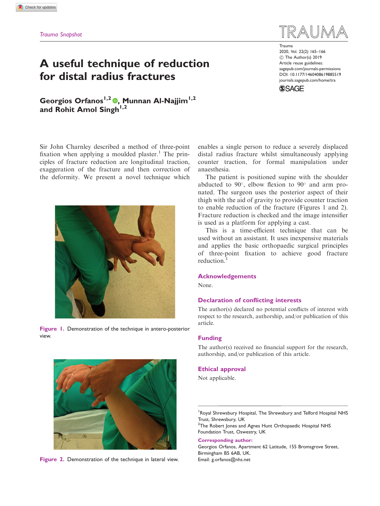# A useful technique of reduction for distal radius fractures

Georgios Orfanos<sup>1[,](https://orcid.org/0000-0002-8458-0860)2</sup> (0, Munnan Al-Najjim<sup>1,2</sup>) and Rohit Amol Singh $^{1,2}$ 

Sir John Charnley described a method of three-point fixation when applying a moulded plaster.<sup>1</sup> The principles of fracture reduction are longitudinal traction, exaggeration of the fracture and then correction of the deformity. We present a novel technique which



Figure 1. Demonstration of the technique in antero-posterior view.



Figure 2. Demonstration of the technique in lateral view.

Trauma 2020, Vol. 22(2) 165–166 C The Author(s) 2019 Article reuse guidelines: [sagepub.com/journals-permissions](https://uk.sagepub.com/en-gb/journals-permissions) DOI: [10.1177/1460408619885519](https://doi.org/10.1177/1460408619885519) <journals.sagepub.com/home/tra>



enables a single person to reduce a severely displaced distal radius fracture whilst simultaneously applying counter traction, for formal manipulation under anaesthesia.

The patient is positioned supine with the shoulder abducted to  $90^\circ$ , elbow flexion to  $90^\circ$  and arm pronated. The surgeon uses the posterior aspect of their thigh with the aid of gravity to provide counter traction to enable reduction of the fracture (Figures 1 and 2). Fracture reduction is checked and the image intensifier is used as a platform for applying a cast.

This is a time-efficient technique that can be used without an assistant. It uses inexpensive materials and applies the basic orthopaedic surgical principles of three-point fixation to achieve good fracture reduction.<sup>1</sup>

#### Acknowledgements

None.

### Declaration of conflicting interests

The author(s) declared no potential conflicts of interest with respect to the research, authorship, and/or publication of this article.

#### Funding

The author(s) received no financial support for the research, authorship, and/or publication of this article.

#### Ethical approval

Not applicable.

<sup>1</sup> Royal Shrewsbury Hospital, The Shrewsbury and Telford Hospital NHS Trust, Shrewsbury, UK

<sup>2</sup>The Robert Jones and Agnes Hunt Orthopaedic Hospital NHS Foundation Trust, Oswestry, UK

#### Corresponding author:

Georgios Orfanos, Apartment 62 Latitude, 155 Bromsgrove Street, Birmingham B5 6AB, UK. Email: g.orfanos@nhs.net